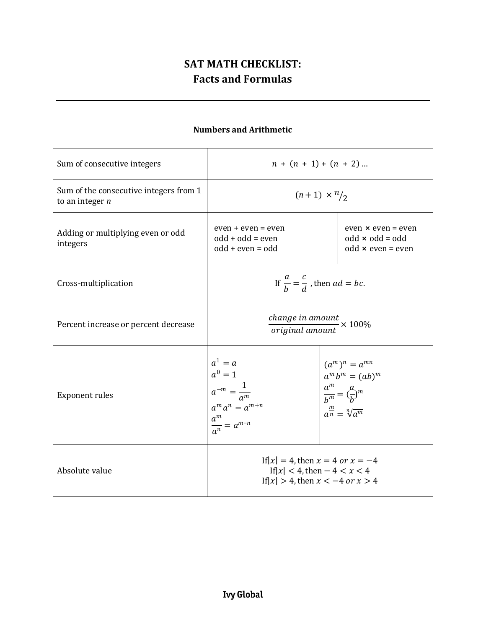# **SAT MATH CHECKLIST: Facts and Formulas**

# **Numbers and Arithmetic**

| Sum of consecutive integers                                 | $n + (n + 1) + (n + 2) $                                                                                                  |                                                                                                                                                         |
|-------------------------------------------------------------|---------------------------------------------------------------------------------------------------------------------------|---------------------------------------------------------------------------------------------------------------------------------------------------------|
| Sum of the consecutive integers from 1<br>to an integer $n$ | $(n+1) \times \frac{n}{2}$                                                                                                |                                                                                                                                                         |
| Adding or multiplying even or odd<br>integers               | even + even = even<br>$odd + odd = even$<br>$odd + even = odd$                                                            | $even \times even = even$<br>$odd \times odd = odd$<br>$odd \times even = even$                                                                         |
| Cross-multiplication                                        | If $\frac{a}{b} = \frac{c}{d}$ , then $ad = bc$ .                                                                         |                                                                                                                                                         |
| Percent increase or percent decrease                        | $\frac{change~in~amount}{original~amount} \times 100\%$                                                                   |                                                                                                                                                         |
| <b>Exponent rules</b>                                       | $a1 = a$<br>$a0 = 1$<br>$a^{\circ} = 1$<br>$a^{-m} = \frac{1}{a^m}$<br>$a^m a^n = a^{m+n}$<br>$\frac{a^m}{a^n} = a^{m-n}$ | $(a^m)^n = a^{mn}$<br>$a^m b^m = (ab)^m$<br>$\begin{cases}\n\frac{a^m}{b^m} = \left(\frac{a}{b}\right)^m \\ \frac{m}{a^n} = \sqrt[n]{a^m}\n\end{cases}$ |
| Absolute value                                              | If $ x  = 4$ , then $x = 4$ or $x = -4$<br>If $ x  < 4$ , then $-4 < x < 4$<br>If $ x  > 4$ , then $x < -4$ or $x > 4$    |                                                                                                                                                         |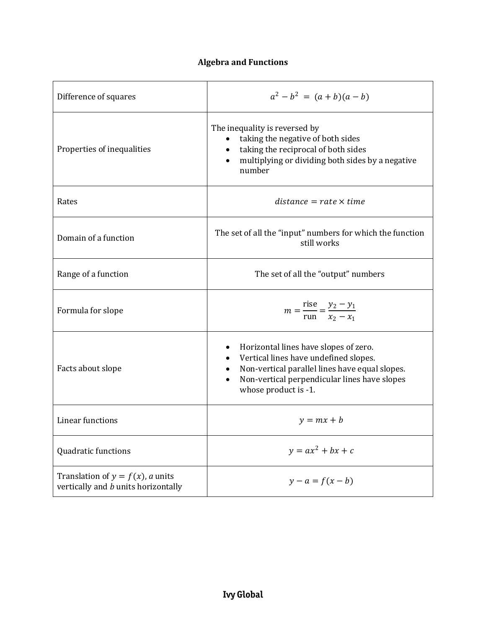# **Algebra and Functions**

| Difference of squares                                                             | $a^{2}-b^{2} = (a + b)(a - b)$                                                                                                                                                                                                          |
|-----------------------------------------------------------------------------------|-----------------------------------------------------------------------------------------------------------------------------------------------------------------------------------------------------------------------------------------|
| Properties of inequalities                                                        | The inequality is reversed by<br>taking the negative of both sides<br>$\bullet$<br>taking the reciprocal of both sides<br>multiplying or dividing both sides by a negative<br>$\bullet$<br>number                                       |
| Rates                                                                             | $distance = rate \times time$                                                                                                                                                                                                           |
| Domain of a function                                                              | The set of all the "input" numbers for which the function<br>still works                                                                                                                                                                |
| Range of a function                                                               | The set of all the "output" numbers                                                                                                                                                                                                     |
| Formula for slope                                                                 | $m = \frac{rise}{run} = \frac{y_2 - y_1}{x_2 - x_1}$                                                                                                                                                                                    |
| Facts about slope                                                                 | Horizontal lines have slopes of zero.<br>٠<br>Vertical lines have undefined slopes.<br>$\bullet$<br>Non-vertical parallel lines have equal slopes.<br>Non-vertical perpendicular lines have slopes<br>$\bullet$<br>whose product is -1. |
| <b>Linear functions</b>                                                           | $y = mx + b$                                                                                                                                                                                                                            |
| Quadratic functions                                                               | $y = ax^2 + bx + c$                                                                                                                                                                                                                     |
| Translation of $y = f(x)$ , <i>a</i> units<br>vertically and b units horizontally | $y - a = f(x - b)$                                                                                                                                                                                                                      |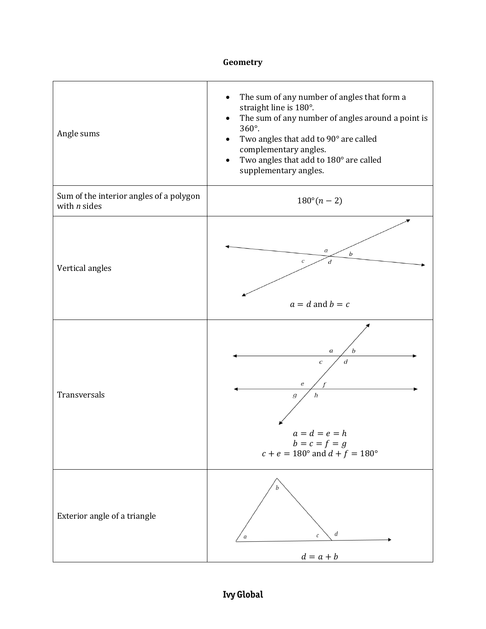#### **Geometry**

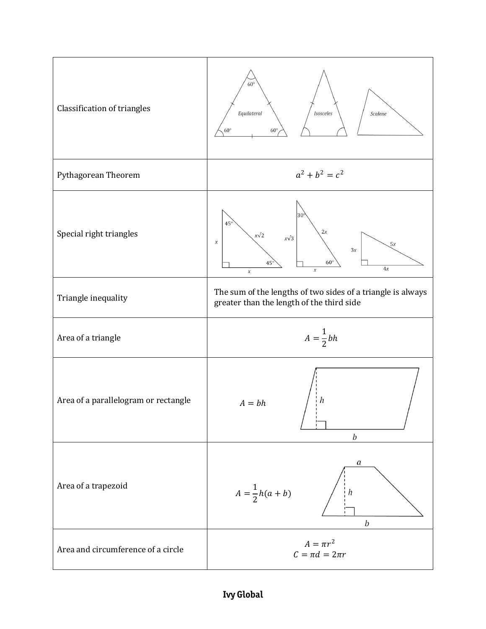

### **Ivy Global**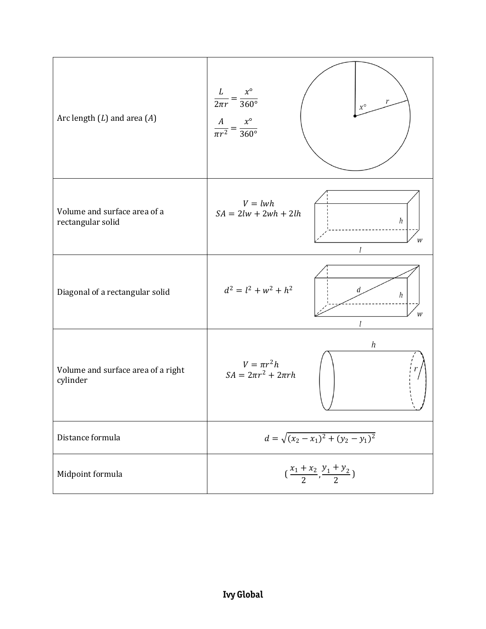| Arc length $(L)$ and area $(A)$                   | $\frac{L}{2\pi r} = \frac{x^{\circ}}{360^{\circ}}$<br>$\chi^{\circ}$<br>$rac{A}{\pi r^2} = \frac{x^{\circ}}{360^{\circ}}$ |  |
|---------------------------------------------------|---------------------------------------------------------------------------------------------------------------------------|--|
| Volume and surface area of a<br>rectangular solid | $V = lwh$<br>$SA = 2lw + 2wh + 2lh$<br>h<br>W                                                                             |  |
| Diagonal of a rectangular solid                   | $d^2 = l^2 + w^2 + h^2$<br>d<br>h                                                                                         |  |
| Volume and surface area of a right<br>cylinder    | $\boldsymbol{h}$<br>$V = \pi r^2 h$<br>$SA = 2\pi r^2 + 2\pi rh$                                                          |  |
| Distance formula                                  | $d = \sqrt{(x_2 - x_1)^2 + (y_2 - y_1)^2}$                                                                                |  |
| Midpoint formula                                  | $\left(\frac{x_1+x_2}{2}, \frac{y_1+y_2}{2}\right)$                                                                       |  |